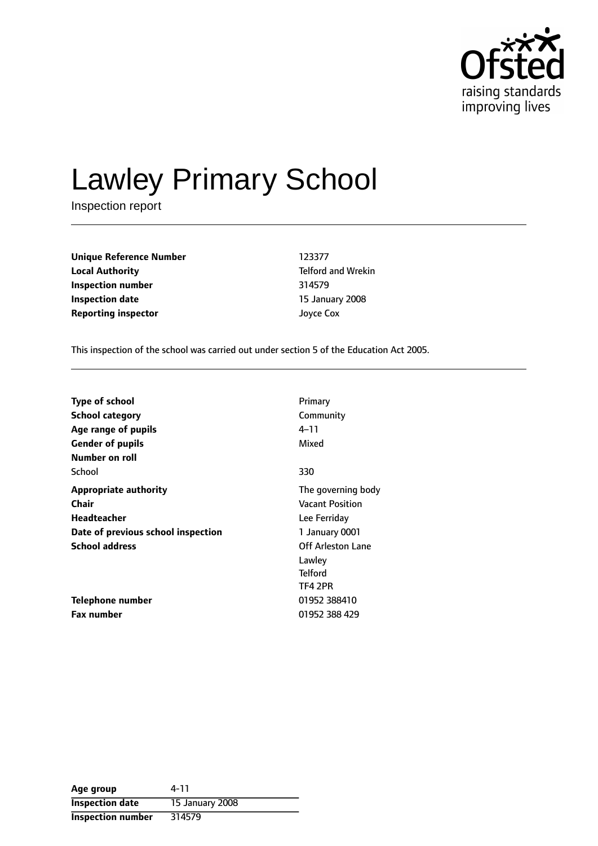

# Lawley Primary School

Inspection report

**Unique Reference Number** 123377 **Local Authority Telford and Wrekin Inspection number** 314579 **Inspection date** 15 January 2008 **Reporting inspector** Joyce Cox

This inspection of the school was carried out under section 5 of the Education Act 2005.

| <b>Type of school</b>              | Primary                |
|------------------------------------|------------------------|
| <b>School category</b>             | Community              |
| Age range of pupils                | 4–11                   |
| <b>Gender of pupils</b>            | Mixed                  |
| Number on roll                     |                        |
| School                             | 330                    |
| <b>Appropriate authority</b>       | The governing body     |
| Chair                              | <b>Vacant Position</b> |
| Headteacher                        | Lee Ferriday           |
| Date of previous school inspection | 1 January 0001         |
| <b>School address</b>              | Off Arleston Lane      |
|                                    | Lawley                 |
|                                    | <b>Telford</b>         |
|                                    | TF4 2PR                |
| Telephone number                   | 01952 388410           |
| <b>Fax number</b>                  | 01952 388 429          |

| Age group                | 4-11            |
|--------------------------|-----------------|
| <b>Inspection date</b>   | 15 January 2008 |
| <b>Inspection number</b> | 314579          |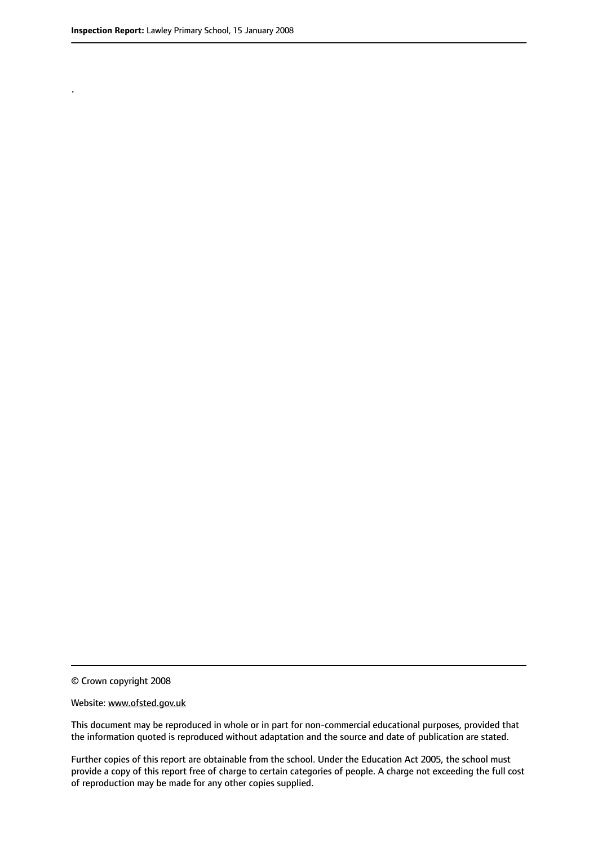.

© Crown copyright 2008

#### Website: www.ofsted.gov.uk

This document may be reproduced in whole or in part for non-commercial educational purposes, provided that the information quoted is reproduced without adaptation and the source and date of publication are stated.

Further copies of this report are obtainable from the school. Under the Education Act 2005, the school must provide a copy of this report free of charge to certain categories of people. A charge not exceeding the full cost of reproduction may be made for any other copies supplied.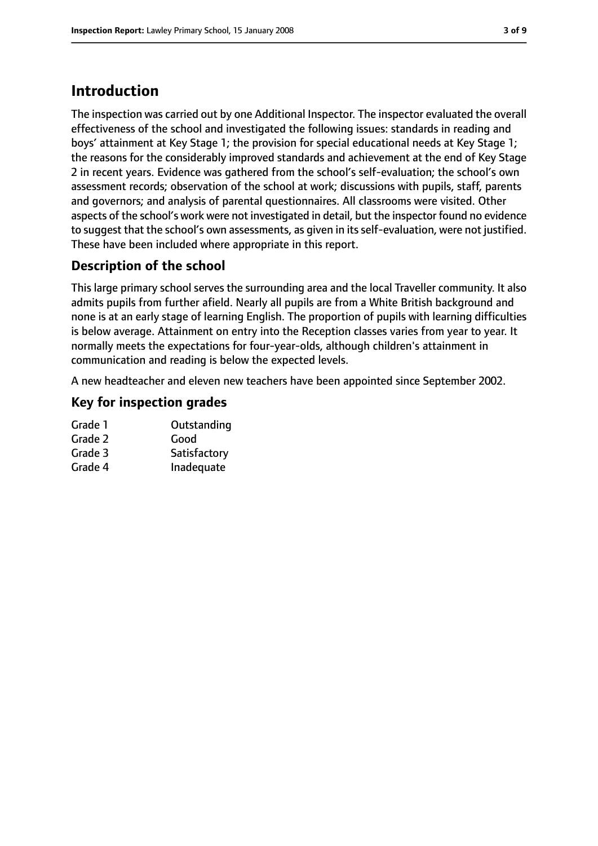## **Introduction**

The inspection was carried out by one Additional Inspector. The inspector evaluated the overall effectiveness of the school and investigated the following issues: standards in reading and boys' attainment at Key Stage 1; the provision for special educational needs at Key Stage 1; the reasons for the considerably improved standards and achievement at the end of Key Stage 2 in recent years. Evidence was gathered from the school's self-evaluation; the school's own assessment records; observation of the school at work; discussions with pupils, staff, parents and governors; and analysis of parental questionnaires. All classrooms were visited. Other aspects of the school's work were not investigated in detail, but the inspector found no evidence to suggest that the school's own assessments, as given in its self-evaluation, were not justified. These have been included where appropriate in this report.

#### **Description of the school**

This large primary school serves the surrounding area and the local Traveller community. It also admits pupils from further afield. Nearly all pupils are from a White British background and none is at an early stage of learning English. The proportion of pupils with learning difficulties is below average. Attainment on entry into the Reception classes varies from year to year. It normally meets the expectations for four-year-olds, although children's attainment in communication and reading is below the expected levels.

A new headteacher and eleven new teachers have been appointed since September 2002.

#### **Key for inspection grades**

| Grade 1 | Outstanding  |
|---------|--------------|
| Grade 2 | Good         |
| Grade 3 | Satisfactory |
| Grade 4 | Inadequate   |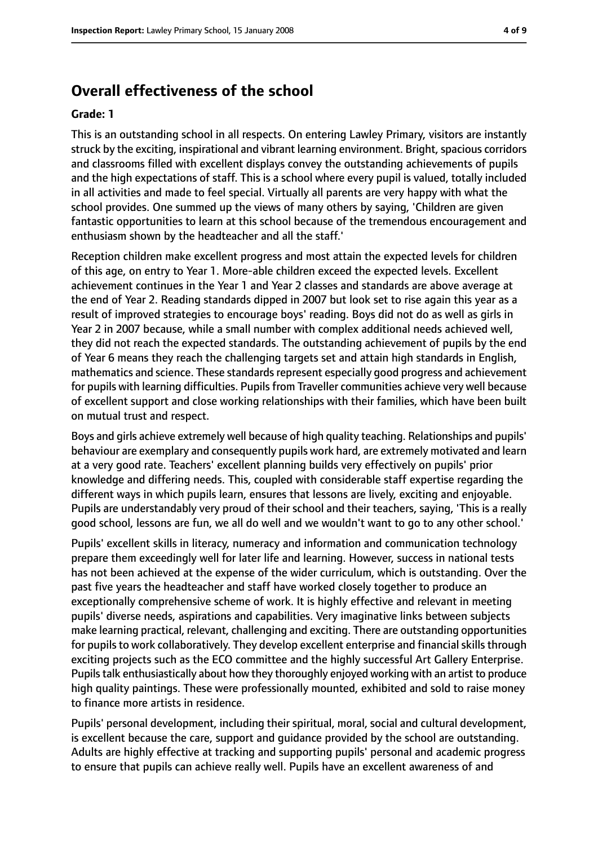#### **Overall effectiveness of the school**

#### **Grade: 1**

This is an outstanding school in all respects. On entering Lawley Primary, visitors are instantly struck by the exciting, inspirational and vibrant learning environment. Bright, spacious corridors and classrooms filled with excellent displays convey the outstanding achievements of pupils and the high expectations of staff. This is a school where every pupil is valued, totally included in all activities and made to feel special. Virtually all parents are very happy with what the school provides. One summed up the views of many others by saying, 'Children are given fantastic opportunities to learn at this school because of the tremendous encouragement and enthusiasm shown by the headteacher and all the staff.'

Reception children make excellent progress and most attain the expected levels for children of this age, on entry to Year 1. More-able children exceed the expected levels. Excellent achievement continues in the Year 1 and Year 2 classes and standards are above average at the end of Year 2. Reading standards dipped in 2007 but look set to rise again this year as a result of improved strategies to encourage boys' reading. Boys did not do as well as girls in Year 2 in 2007 because, while a small number with complex additional needs achieved well, they did not reach the expected standards. The outstanding achievement of pupils by the end of Year 6 means they reach the challenging targets set and attain high standards in English, mathematics and science. These standards represent especially good progress and achievement for pupils with learning difficulties. Pupils from Traveller communities achieve very well because of excellent support and close working relationships with their families, which have been built on mutual trust and respect.

Boys and girls achieve extremely well because of high quality teaching. Relationships and pupils' behaviour are exemplary and consequently pupils work hard, are extremely motivated and learn at a very good rate. Teachers' excellent planning builds very effectively on pupils' prior knowledge and differing needs. This, coupled with considerable staff expertise regarding the different ways in which pupils learn, ensures that lessons are lively, exciting and enjoyable. Pupils are understandably very proud of their school and their teachers, saying, 'This is a really good school, lessons are fun, we all do well and we wouldn't want to go to any other school.'

Pupils' excellent skills in literacy, numeracy and information and communication technology prepare them exceedingly well for later life and learning. However, success in national tests has not been achieved at the expense of the wider curriculum, which is outstanding. Over the past five years the headteacher and staff have worked closely together to produce an exceptionally comprehensive scheme of work. It is highly effective and relevant in meeting pupils' diverse needs, aspirations and capabilities. Very imaginative links between subjects make learning practical, relevant, challenging and exciting. There are outstanding opportunities for pupils to work collaboratively. They develop excellent enterprise and financial skills through exciting projects such as the ECO committee and the highly successful Art Gallery Enterprise. Pupilstalk enthusiastically about how they thoroughly enjoyed working with an artist to produce high quality paintings. These were professionally mounted, exhibited and sold to raise money to finance more artists in residence.

Pupils' personal development, including their spiritual, moral, social and cultural development, is excellent because the care, support and guidance provided by the school are outstanding. Adults are highly effective at tracking and supporting pupils' personal and academic progress to ensure that pupils can achieve really well. Pupils have an excellent awareness of and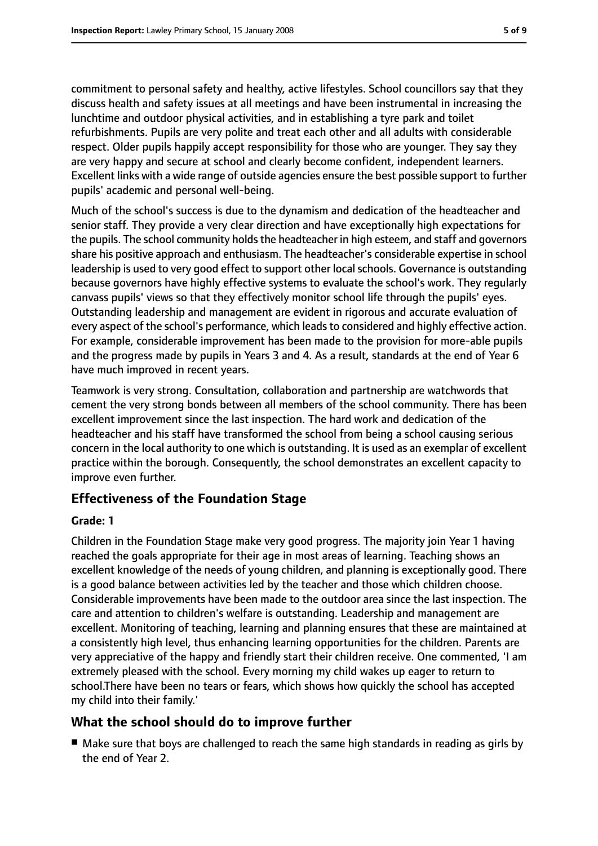commitment to personal safety and healthy, active lifestyles. School councillors say that they discuss health and safety issues at all meetings and have been instrumental in increasing the lunchtime and outdoor physical activities, and in establishing a tyre park and toilet refurbishments. Pupils are very polite and treat each other and all adults with considerable respect. Older pupils happily accept responsibility for those who are younger. They say they are very happy and secure at school and clearly become confident, independent learners. Excellent links with a wide range of outside agencies ensure the best possible support to further pupils' academic and personal well-being.

Much of the school's success is due to the dynamism and dedication of the headteacher and senior staff. They provide a very clear direction and have exceptionally high expectations for the pupils. The school community holds the headteacher in high esteem, and staff and governors share his positive approach and enthusiasm. The headteacher's considerable expertise in school leadership is used to very good effect to support other local schools. Governance is outstanding because governors have highly effective systems to evaluate the school's work. They regularly canvass pupils' views so that they effectively monitor school life through the pupils' eyes. Outstanding leadership and management are evident in rigorous and accurate evaluation of every aspect of the school's performance, which leads to considered and highly effective action. For example, considerable improvement has been made to the provision for more-able pupils and the progress made by pupils in Years 3 and 4. As a result, standards at the end of Year 6 have much improved in recent years.

Teamwork is very strong. Consultation, collaboration and partnership are watchwords that cement the very strong bonds between all members of the school community. There has been excellent improvement since the last inspection. The hard work and dedication of the headteacher and his staff have transformed the school from being a school causing serious concern in the local authority to one which is outstanding. It is used as an exemplar of excellent practice within the borough. Consequently, the school demonstrates an excellent capacity to improve even further.

#### **Effectiveness of the Foundation Stage**

#### **Grade: 1**

Children in the Foundation Stage make very good progress. The majority join Year 1 having reached the goals appropriate for their age in most areas of learning. Teaching shows an excellent knowledge of the needs of young children, and planning is exceptionally good. There is a good balance between activities led by the teacher and those which children choose. Considerable improvements have been made to the outdoor area since the last inspection. The care and attention to children's welfare is outstanding. Leadership and management are excellent. Monitoring of teaching, learning and planning ensures that these are maintained at a consistently high level, thus enhancing learning opportunities for the children. Parents are very appreciative of the happy and friendly start their children receive. One commented, 'I am extremely pleased with the school. Every morning my child wakes up eager to return to school.There have been no tears or fears, which shows how quickly the school has accepted my child into their family.'

#### **What the school should do to improve further**

■ Make sure that boys are challenged to reach the same high standards in reading as girls by the end of Year 2.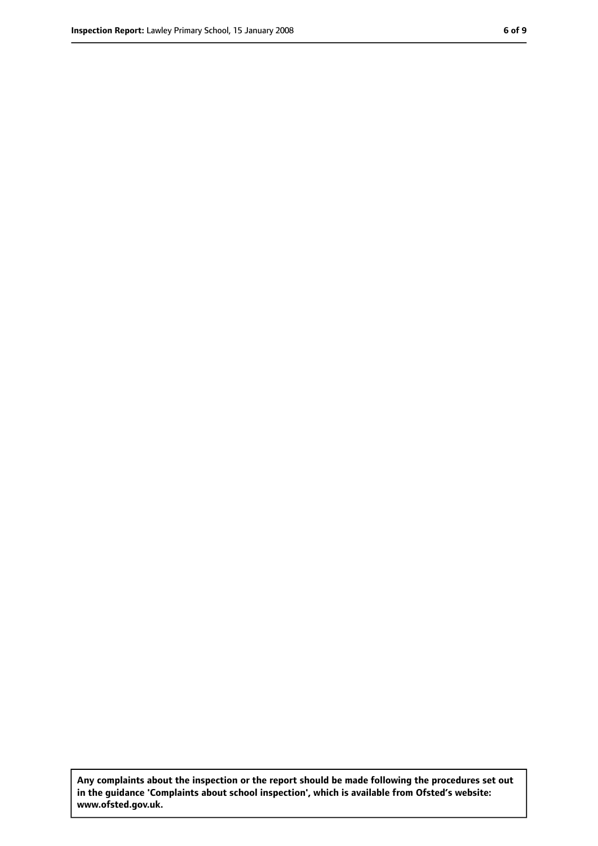**Any complaints about the inspection or the report should be made following the procedures set out in the guidance 'Complaints about school inspection', which is available from Ofsted's website: www.ofsted.gov.uk.**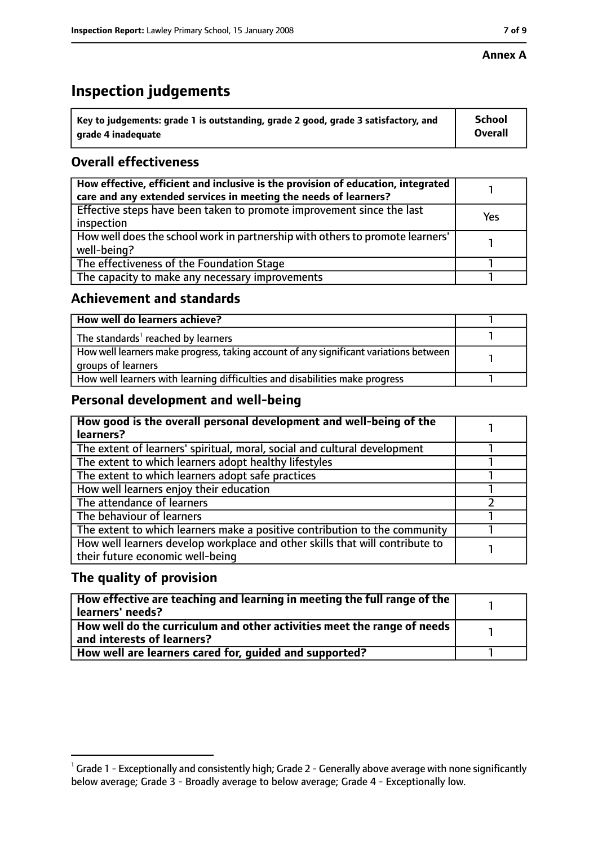#### **Annex A**

# **Inspection judgements**

| $^{\backprime}$ Key to judgements: grade 1 is outstanding, grade 2 good, grade 3 satisfactory, and | <b>School</b>  |
|----------------------------------------------------------------------------------------------------|----------------|
| arade 4 inadequate                                                                                 | <b>Overall</b> |

### **Overall effectiveness**

| How effective, efficient and inclusive is the provision of education, integrated<br>care and any extended services in meeting the needs of learners? |     |
|------------------------------------------------------------------------------------------------------------------------------------------------------|-----|
| Effective steps have been taken to promote improvement since the last<br>inspection                                                                  | Yes |
| How well does the school work in partnership with others to promote learners'<br>well-being?                                                         |     |
| The effectiveness of the Foundation Stage                                                                                                            |     |
| The capacity to make any necessary improvements                                                                                                      |     |

#### **Achievement and standards**

| How well do learners achieve?                                                                               |  |
|-------------------------------------------------------------------------------------------------------------|--|
| The standards <sup>1</sup> reached by learners                                                              |  |
| How well learners make progress, taking account of any significant variations between<br>groups of learners |  |
| How well learners with learning difficulties and disabilities make progress                                 |  |

#### **Personal development and well-being**

| How good is the overall personal development and well-being of the<br>learners?                                  |  |
|------------------------------------------------------------------------------------------------------------------|--|
| The extent of learners' spiritual, moral, social and cultural development                                        |  |
| The extent to which learners adopt healthy lifestyles                                                            |  |
| The extent to which learners adopt safe practices                                                                |  |
| How well learners enjoy their education                                                                          |  |
| The attendance of learners                                                                                       |  |
| The behaviour of learners                                                                                        |  |
| The extent to which learners make a positive contribution to the community                                       |  |
| How well learners develop workplace and other skills that will contribute to<br>their future economic well-being |  |

#### **The quality of provision**

| How effective are teaching and learning in meeting the full range of the<br>learners' needs?          |  |
|-------------------------------------------------------------------------------------------------------|--|
| How well do the curriculum and other activities meet the range of needs<br>and interests of learners? |  |
| How well are learners cared for, quided and supported?                                                |  |

 $^1$  Grade 1 - Exceptionally and consistently high; Grade 2 - Generally above average with none significantly below average; Grade 3 - Broadly average to below average; Grade 4 - Exceptionally low.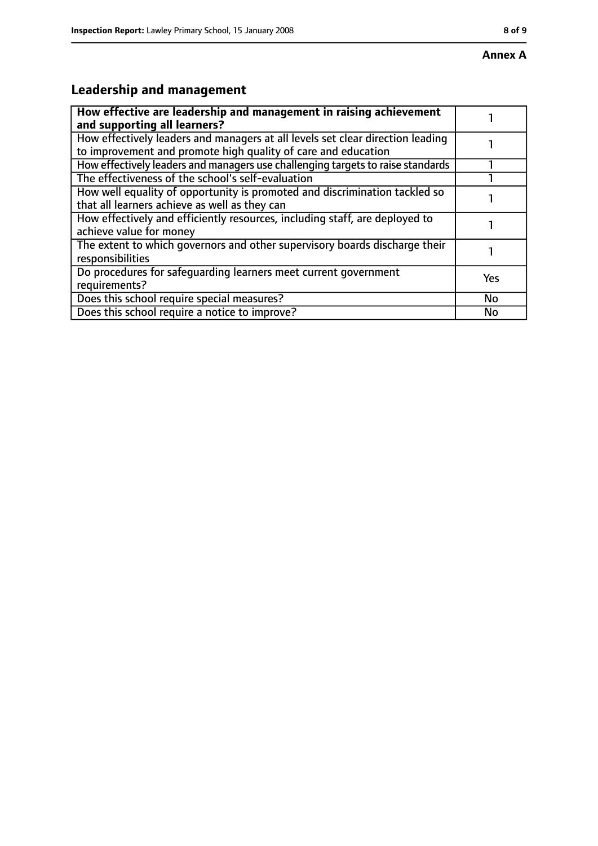# **Leadership and management**

| How effective are leadership and management in raising achievement<br>and supporting all learners?                                              |     |
|-------------------------------------------------------------------------------------------------------------------------------------------------|-----|
| How effectively leaders and managers at all levels set clear direction leading<br>to improvement and promote high quality of care and education |     |
| How effectively leaders and managers use challenging targets to raise standards                                                                 |     |
| The effectiveness of the school's self-evaluation                                                                                               |     |
| How well equality of opportunity is promoted and discrimination tackled so<br>that all learners achieve as well as they can                     |     |
| How effectively and efficiently resources, including staff, are deployed to<br>achieve value for money                                          |     |
| The extent to which governors and other supervisory boards discharge their<br>responsibilities                                                  |     |
| Do procedures for safequarding learners meet current government<br>requirements?                                                                | Yes |
| Does this school require special measures?                                                                                                      | No  |
| Does this school require a notice to improve?                                                                                                   | No  |